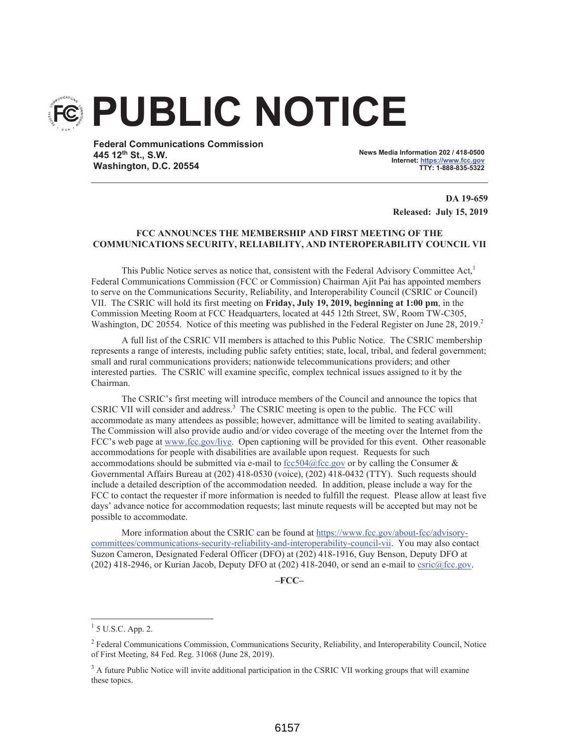# **PUBLIC NOTICE**

**Federal Communications Commission** 445 12th St., S.W. Washington, D.C. 20554

News Media Information 202 / 418-0500 Internet: https://www.fcc.gov TTY: 1-888-835-5322

> DA 19-659 **Released: July 15, 2019**

## FCC ANNOUNCES THE MEMBERSHIP AND FIRST MEETING OF THE **COMMUNICATIONS SECURITY, RELIABILITY, AND INTEROPERABILITY COUNCIL VII**

This Public Notice serves as notice that, consistent with the Federal Advisory Committee Act,<sup>1</sup> Federal Communications Commission (FCC or Commission) Chairman Ajit Pai has appointed members to serve on the Communications Security, Reliability, and Interoperability Council (CSRIC or Council) VII. The CSRIC will hold its first meeting on Friday, July 19, 2019, beginning at 1:00 pm, in the Commission Meeting Room at FCC Headquarters, located at 445 12th Street, SW, Room TW-C305, Washington, DC 20554. Notice of this meeting was published in the Federal Register on June 28, 2019.

A full list of the CSRIC VII members is attached to this Public Notice. The CSRIC membership represents a range of interests, including public safety entities; state, local, tribal, and federal government; small and rural communications providers; nationwide telecommunications providers; and other interested parties. The CSRIC will examine specific, complex technical issues assigned to it by the Chairman.

The CSRIC's first meeting will introduce members of the Council and announce the topics that CSRIC VII will consider and address.<sup>3</sup> The CSRIC meeting is open to the public. The FCC will accommodate as many attendees as possible; however, admittance will be limited to seating availability. The Commission will also provide audio and/or video coverage of the meeting over the Internet from the FCC's web page at www.fcc.gov/live. Open captioning will be provided for this event. Other reasonable accommodations for people with disabilities are available upon request. Requests for such accommodations should be submitted via e-mail to fcc504@fcc.gov or by calling the Consumer & Governmental Affairs Bureau at (202) 418-0530 (voice), (202) 418-0432 (TTY). Such requests should include a detailed description of the accommodation needed. In addition, please include a way for the FCC to contact the requester if more information is needed to fulfill the request. Please allow at least five days' advance notice for accommodation requests; last minute requests will be accepted but may not be possible to accommodate.

More information about the CSRIC can be found at https://www.fcc.gov/about-fcc/advisorycommittees/communications-security-reliability-and-interoperability-council-vii. You may also contact Suzon Cameron, Designated Federal Officer (DFO) at (202) 418-1916, Guy Benson, Deputy DFO at (202) 418-2946, or Kurian Jacob, Deputy DFO at (202) 418-2040, or send an e-mail to  $c$ sric $@$ fcc.gov.

 $-FCC-$ 

 $1$  5 U.S.C. App. 2.

<sup>&</sup>lt;sup>2</sup> Federal Communications Commission, Communications Security, Reliability, and Interoperability Council, Notice of First Meeting, 84 Fed. Reg. 31068 (June 28, 2019).

 $3$  A future Public Notice will invite additional participation in the CSRIC VII working groups that will examine these topics.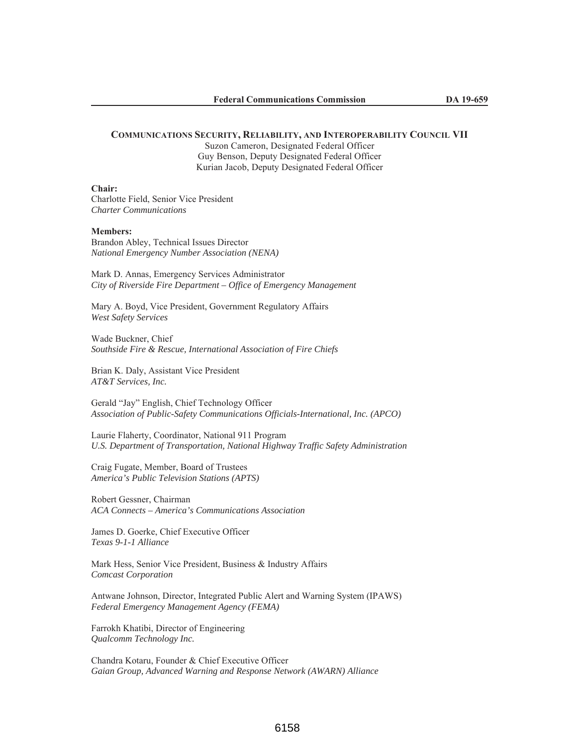### **COMMUNICATIONS SECURITY, RELIABILITY, AND INTEROPERABILITY COUNCIL VII**

Suzon Cameron, Designated Federal Officer Guy Benson, Deputy Designated Federal Officer Kurian Jacob, Deputy Designated Federal Officer

#### Chair:

Charlotte Field, Senior Vice President *Charter Communications* 

### **Members:**

Brandon Abley, Technical Issues Director *National Emergency Number Association (NENA)* 

Mark D. Annas, Emergency Services Administrator *City of Riverside Fire Department – Office of Emergency Management* 

Mary A. Boyd, Vice President, Government Regulatory Affairs *West Safety Services* 

Wade Buckner, Chief *Southside Fire & Rescue, International Association of Fire Chiefs* 

Brian K. Daly, Assistant Vice President *AT&T Services, Inc.* 

Gerald "Jay" English, Chief Technology Officer *Association of Public-Safety Communications Officials-International, Inc. (APCO)* 

Laurie Flaherty, Coordinator, National 911 Program *U.S. Department of Transportation, National Highway Traffic Safety Administration* 

Craig Fugate, Member, Board of Trustees *America's Public Television Stations (APTS)* 

Robert Gessner, Chairman *ACA Connects – America's Communications Association* 

James D. Goerke, Chief Executive Officer *Texas 9-1-1 Alliance* 

Mark Hess, Senior Vice President, Business & Industry Affairs *Comcast Corporation* 

Antwane Johnson, Director, Integrated Public Alert and Warning System (IPAWS) *Federal Emergency Management Agency (FEMA)* 

Farrokh Khatibi, Director of Engineering *Qualcomm Technology Inc.*

Chandra Kotaru, Founder & Chief Executive Officer *Gaian Group, Advanced Warning and Response Network (AWARN) Alliance*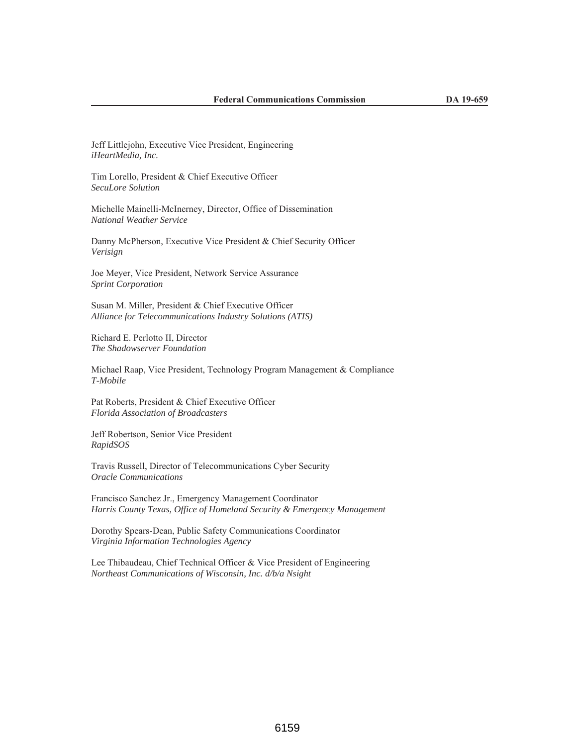Jeff Littlejohn, Executive Vice President, Engineering iHeartMedia, Inc.

Tim Lorello, President & Chief Executive Officer SecuLore Solution

Michelle Mainelli-McInerney, Director, Office of Dissemination **National Weather Service** 

Danny McPherson, Executive Vice President & Chief Security Officer Verisign

Joe Meyer, Vice President, Network Service Assurance **Sprint Corporation** 

Susan M. Miller, President & Chief Executive Officer Alliance for Telecommunications Industry Solutions (ATIS)

Richard E. Perlotto II, Director The Shadowserver Foundation

Michael Raap, Vice President, Technology Program Management & Compliance T-Mobile

Pat Roberts, President & Chief Executive Officer Florida Association of Broadcasters

Jeff Robertson, Senior Vice President RapidSOS

Travis Russell, Director of Telecommunications Cyber Security **Oracle Communications** 

Francisco Sanchez Jr., Emergency Management Coordinator Harris County Texas, Office of Homeland Security & Emergency Management

Dorothy Spears-Dean, Public Safety Communications Coordinator Virginia Information Technologies Agency

Lee Thibaudeau, Chief Technical Officer & Vice President of Engineering Northeast Communications of Wisconsin, Inc. d/b/a Nsight